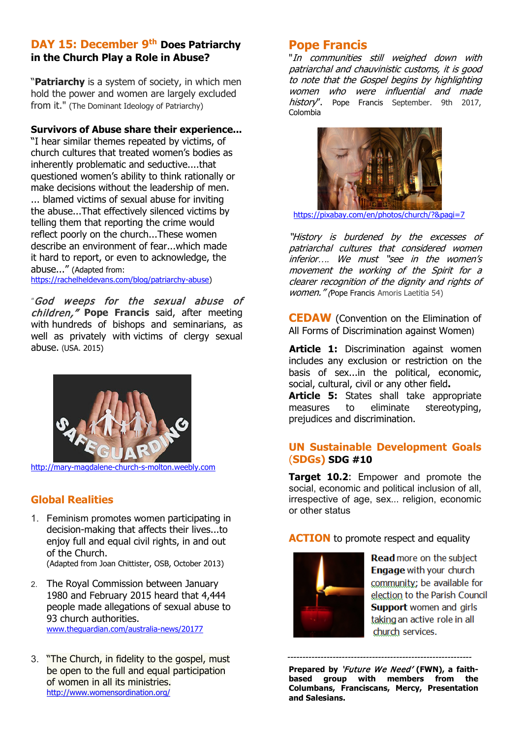### **DAY 15: December 9th Does Patriarchy in the Church Play a Role in Abuse?**

"**Patriarchy** is a system of society, in which men hold the power and women are largely excluded from it." (The Dominant Ideology of Patriarchy)

#### **Survivors of Abuse share their experience...**

"I hear similar themes repeated by victims, of church cultures that treated women's bodies as inherently problematic and seductive....that questioned women's ability to think rationally or make decisions without the leadership of men. ... blamed victims of sexual abuse for inviting the abuse...That effectively silenced victims by telling them that reporting the crime would reflect poorly on the church...These women describe an environment of fear...which made it hard to report, or even to acknowledge, the abuse..." (Adapted from:

[https://rachelheldevans.com/blog/patriarchy-abuse\)](https://rachelheldevans.com/blog/patriarchy-abuse)

"God weeps for the sexual abuse of children," **Pope Francis** said, after meeting with hundreds of bishops and seminarians, as well as privately with victims of clergy sexual abuse. (USA. 2015)



[http://mary-magdalene-church-s-molton.weebly.com](http://mary-magdalene-church-s-molton.weebly.com/) 

## **Global Realities**

- 1. Feminism promotes women participating in decision-making that affects their lives...to enjoy full and equal civil rights, in and out of the Church.
	- (Adapted from Joan Chittister, OSB, October 2013)
- 2. The Royal Commission between January 1980 and February 2015 heard that 4,444 people made allegations of sexual abuse to 93 church authorities. [www.theguardian.com/australia-news/20177](http://www.theguardian.com/australia-news/20177)
- 3. "The Church, in fidelity to the gospel, must be open to the full and equal participation of women in all its ministries. <http://www.womensordination.org/>

## **Pope Francis**

"In communities still weighed down with patriarchal and chauvinistic customs, it is good to note that the Gospel begins by highlighting women who were influential and made history". Pope Francis September. 9th 2017, Colombia



<https://pixabay.com/en/photos/church/?&pagi=7>

"History is burdened by the excesses of patriarchal cultures that considered women inferior*….* We must "see in the women's movement the working of the Spirit for a clearer recognition of the dignity and rights of women." (Pope Francis Amoris Laetitia 54)

**CEDAW** [\(Convention on the Elimination of](http://www.ohchr.org/EN/ProfessionalInterest/Pages/CEDAW.aspx)  [All Forms of Discrimination against Women](http://www.ohchr.org/EN/ProfessionalInterest/Pages/CEDAW.aspx))

Article 1: Discrimination against women includes any exclusion or restriction on the basis of sex...in the political, economic, social, cultural, civil or any other field**.**

**Article 5:** States shall take appropriate measures to eliminate stereotyping. measures to eliminate stereotyping, prejudices and discrimination.

### **UN Sustainable Development Goals** (**SDGs) SDG #10**

**Target 10.2**: Empower and promote the social, economic and political inclusion of all, irrespective of age, sex... religion, economic or other status

**ACTION** to promote respect and equality



Read more on the subject Engage with your church community: be available for election to the Parish Council **Support** women and girls taking an active role in all church services.

**Prepared by** 'Future We Need' **(FWN), a faithbased group with members from the Columbans, Franciscans, Mercy, Presentation and Salesians.** 

-------------------------------------------------------------